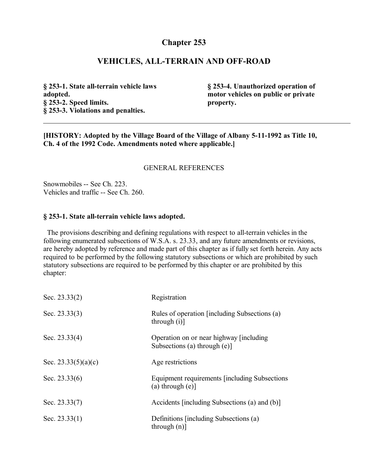## **Chapter 253**

# **VEHICLES, ALL-TERRAIN AND OFF-ROAD**

**§ 253-1. State all-terrain vehicle laws adopted. § 253-2. Speed limits. § 253-3. Violations and penalties.**

**§ 253-4. Unauthorized operation of motor vehicles on public or private property.**

**[HISTORY: Adopted by the Village Board of the Village of Albany 5-11-1992 as Title 10, Ch. 4 of the 1992 Code. Amendments noted where applicable.]**

#### GENERAL REFERENCES

Snowmobiles -- See Ch. 223. Vehicles and traffic -- See Ch. 260.

#### **§ 253-1. State all-terrain vehicle laws adopted.**

 The provisions describing and defining regulations with respect to all-terrain vehicles in the following enumerated subsections of W.S.A. s. 23.33, and any future amendments or revisions, are hereby adopted by reference and made part of this chapter as if fully set forth herein. Any acts required to be performed by the following statutory subsections or which are prohibited by such statutory subsections are required to be performed by this chapter or are prohibited by this chapter:

| Sec. 23.33(2)          | Registration                                                                |
|------------------------|-----------------------------------------------------------------------------|
| Sec. 23.33(3)          | Rules of operation [including Subsections (a)<br>through $(i)$ ]            |
| Sec. 23.33(4)          | Operation on or near highway [including]<br>Subsections (a) through $(e)$ ] |
| Sec. 23.33 $(5)(a)(c)$ | Age restrictions                                                            |
| Sec. $23.33(6)$        | Equipment requirements [including Subsections]<br>$(a)$ through $(e)$ ]     |
| Sec. 23.33(7)          | Accidents [including Subsections (a) and (b)]                               |
| Sec. 23.33(1)          | Definitions [including Subsections (a)<br>through $(n)$ ]                   |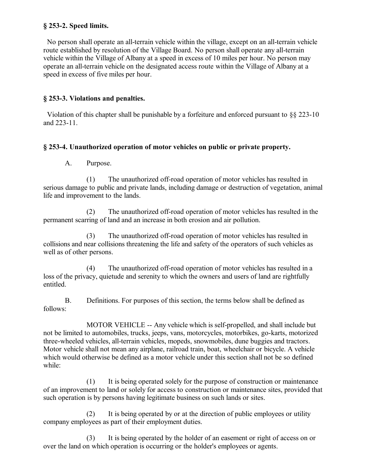### **§ 253-2. Speed limits.**

 No person shall operate an all-terrain vehicle within the village, except on an all-terrain vehicle route established by resolution of the Village Board. No person shall operate any all-terrain vehicle within the Village of Albany at a speed in excess of 10 miles per hour. No person may operate an all-terrain vehicle on the designated access route within the Village of Albany at a speed in excess of five miles per hour.

## **§ 253-3. Violations and penalties.**

 Violation of this chapter shall be punishable by a forfeiture and enforced pursuant to §§ 223-10 and 223-11.

## **§ 253-4. Unauthorized operation of motor vehicles on public or private property.**

A. Purpose.

(1) The unauthorized off-road operation of motor vehicles has resulted in serious damage to public and private lands, including damage or destruction of vegetation, animal life and improvement to the lands.

(2) The unauthorized off-road operation of motor vehicles has resulted in the permanent scarring of land and an increase in both erosion and air pollution.

(3) The unauthorized off-road operation of motor vehicles has resulted in collisions and near collisions threatening the life and safety of the operators of such vehicles as well as of other persons.

(4) The unauthorized off-road operation of motor vehicles has resulted in a loss of the privacy, quietude and serenity to which the owners and users of land are rightfully entitled.

B. Definitions. For purposes of this section, the terms below shall be defined as follows:

MOTOR VEHICLE -- Any vehicle which is self-propelled, and shall include but not be limited to automobiles, trucks, jeeps, vans, motorcycles, motorbikes, go-karts, motorized three-wheeled vehicles, all-terrain vehicles, mopeds, snowmobiles, dune buggies and tractors. Motor vehicle shall not mean any airplane, railroad train, boat, wheelchair or bicycle. A vehicle which would otherwise be defined as a motor vehicle under this section shall not be so defined while:

(1) It is being operated solely for the purpose of construction or maintenance of an improvement to land or solely for access to construction or maintenance sites, provided that such operation is by persons having legitimate business on such lands or sites.

(2) It is being operated by or at the direction of public employees or utility company employees as part of their employment duties.

(3) It is being operated by the holder of an easement or right of access on or over the land on which operation is occurring or the holder's employees or agents.